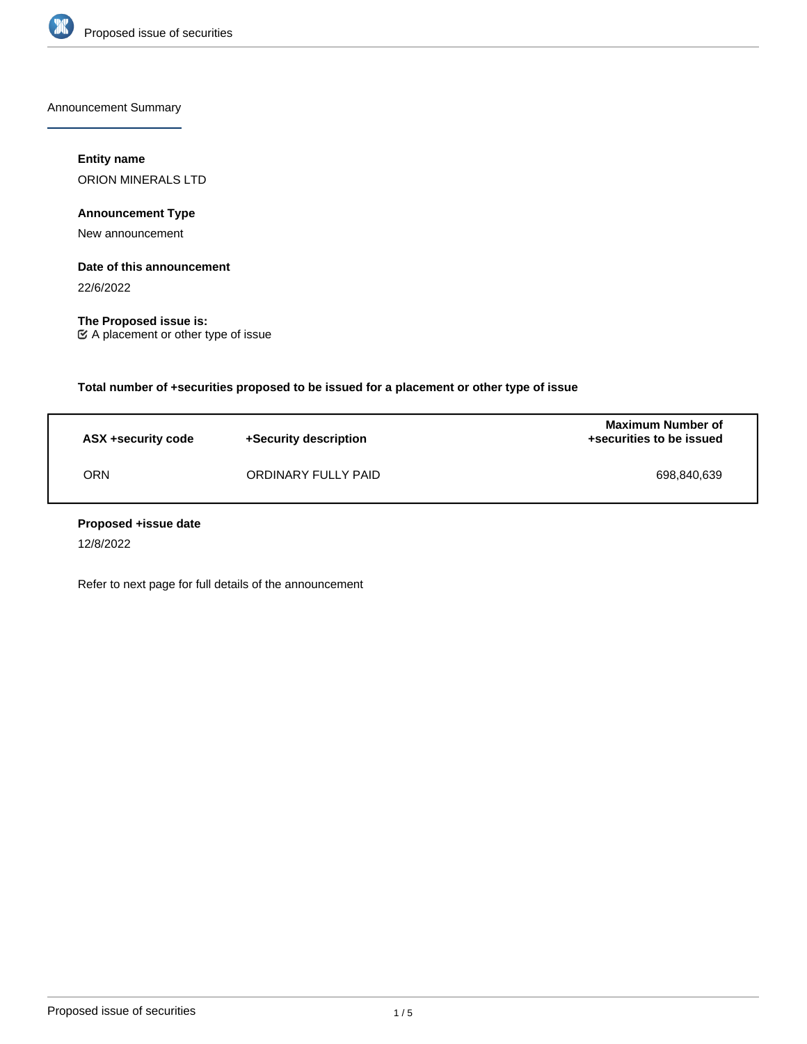

Announcement Summary

# **Entity name**

ORION MINERALS LTD

**Announcement Type**

New announcement

### **Date of this announcement**

22/6/2022

**The Proposed issue is:** A placement or other type of issue

**Total number of +securities proposed to be issued for a placement or other type of issue**

| ASX +security code | +Security description | Maximum Number of<br>+securities to be issued |
|--------------------|-----------------------|-----------------------------------------------|
| ORN                | ORDINARY FULLY PAID   | 698.840.639                                   |

### **Proposed +issue date**

12/8/2022

Refer to next page for full details of the announcement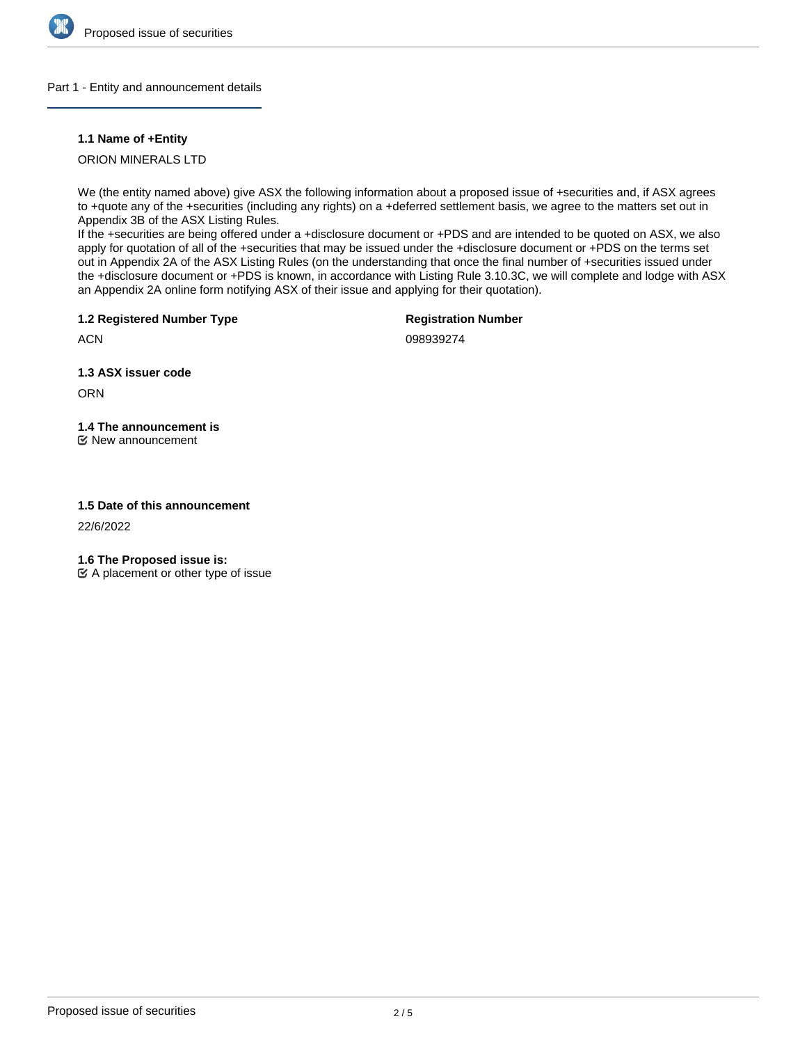

### Part 1 - Entity and announcement details

### **1.1 Name of +Entity**

ORION MINERALS LTD

We (the entity named above) give ASX the following information about a proposed issue of +securities and, if ASX agrees to +quote any of the +securities (including any rights) on a +deferred settlement basis, we agree to the matters set out in Appendix 3B of the ASX Listing Rules.

If the +securities are being offered under a +disclosure document or +PDS and are intended to be quoted on ASX, we also apply for quotation of all of the +securities that may be issued under the +disclosure document or +PDS on the terms set out in Appendix 2A of the ASX Listing Rules (on the understanding that once the final number of +securities issued under the +disclosure document or +PDS is known, in accordance with Listing Rule 3.10.3C, we will complete and lodge with ASX an Appendix 2A online form notifying ASX of their issue and applying for their quotation).

**1.2 Registered Number Type**

**Registration Number**

**ACN** 

098939274

**1.3 ASX issuer code**

**ORN** 

**1.4 The announcement is** New announcement

## **1.5 Date of this announcement**

22/6/2022

**1.6 The Proposed issue is:**

 $\mathfrak{C}$  A placement or other type of issue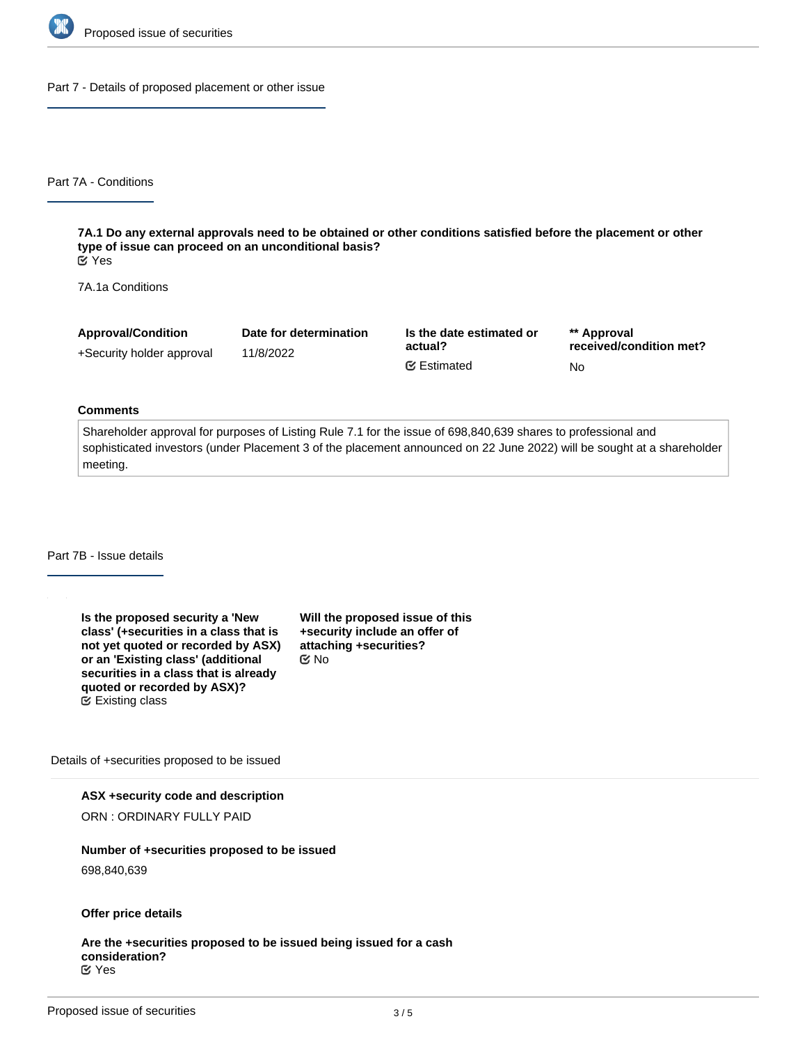

Part 7 - Details of proposed placement or other issue

Part 7A - Conditions

**7A.1 Do any external approvals need to be obtained or other conditions satisfied before the placement or other type of issue can proceed on an unconditional basis?** Yes

7A.1a Conditions

| <b>Approval/Condition</b> | Date for determination | Is the date estimated or<br>actual? | ** Approval<br>received/condition met? |
|---------------------------|------------------------|-------------------------------------|----------------------------------------|
| +Security holder approval | 11/8/2022              |                                     |                                        |
|                           |                        | <b></b> Estimated                   | No                                     |

#### **Comments**

Shareholder approval for purposes of Listing Rule 7.1 for the issue of 698,840,639 shares to professional and sophisticated investors (under Placement 3 of the placement announced on 22 June 2022) will be sought at a shareholder meeting.

Part 7B - Issue details

**Is the proposed security a 'New class' (+securities in a class that is not yet quoted or recorded by ASX) or an 'Existing class' (additional securities in a class that is already quoted or recorded by ASX)?** Existing class

**Will the proposed issue of this +security include an offer of attaching +securities?** No

Details of +securities proposed to be issued

**ASX +security code and description**

ORN : ORDINARY FULLY PAID

#### **Number of +securities proposed to be issued**

698,840,639

## **Offer price details**

**Are the +securities proposed to be issued being issued for a cash consideration?** Yes

**In what currency is the cash What is the issue price per**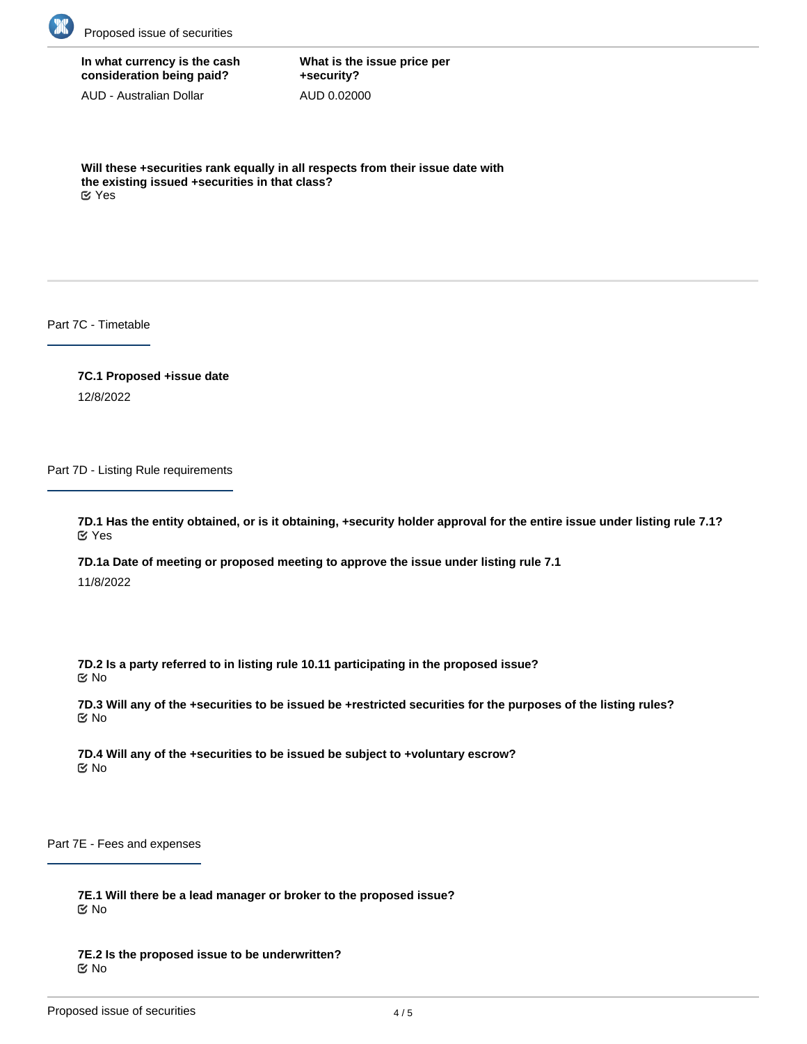

**In what currency is the cash consideration being paid?**

AUD - Australian Dollar

**What is the issue price per +security?** AUD 0.02000

**Will these +securities rank equally in all respects from their issue date with the existing issued +securities in that class?** Yes

Part 7C - Timetable

**7C.1 Proposed +issue date** 12/8/2022

Part 7D - Listing Rule requirements

**7D.1 Has the entity obtained, or is it obtaining, +security holder approval for the entire issue under listing rule 7.1?** Yes

**7D.1a Date of meeting or proposed meeting to approve the issue under listing rule 7.1**

11/8/2022

**7D.2 Is a party referred to in listing rule 10.11 participating in the proposed issue?** No

**7D.3 Will any of the +securities to be issued be +restricted securities for the purposes of the listing rules?** No

**7D.4 Will any of the +securities to be issued be subject to +voluntary escrow?** No

Part 7E - Fees and expenses

**7E.1 Will there be a lead manager or broker to the proposed issue?** No

**7E.2 Is the proposed issue to be underwritten? K** No